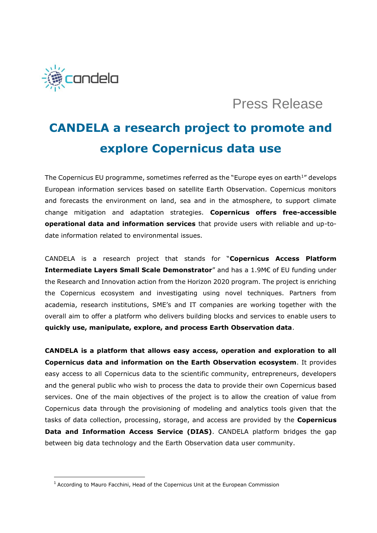

## Press Release

## **CANDELA a research project to promote and explore Copernicus data use**

The Copernicus EU programme, sometimes referred as the "Europe eyes on earth<sup>1</sup>" develops European information services based on satellite Earth Observation. Copernicus monitors and forecasts the environment on land, sea and in the atmosphere, to support climate change mitigation and adaptation strategies. **Copernicus offers free-accessible operational data and information services** that provide users with reliable and up-todate information related to environmental issues.

CANDELA is a research project that stands for "**Copernicus Access Platform Intermediate Layers Small Scale Demonstrator**" and has a 1.9M€ of EU funding under the Research and Innovation action from the Horizon 2020 program. The project is enriching the Copernicus ecosystem and investigating using novel techniques. Partners from academia, research institutions, SME's and IT companies are working together with the overall aim to offer a platform who delivers building blocks and services to enable users to **quickly use, manipulate, explore, and process Earth Observation data**.

**CANDELA is a platform that allows easy access, operation and exploration to all Copernicus data and information on the Earth Observation ecosystem**. It provides easy access to all Copernicus data to the scientific community, entrepreneurs, developers and the general public who wish to process the data to provide their own Copernicus based services. One of the main objectives of the project is to allow the creation of value from Copernicus data through the provisioning of modeling and analytics tools given that the tasks of data collection, processing, storage, and access are provided by the **Copernicus Data and Information Access Service (DIAS)**. CANDELA platform bridges the gap between big data technology and the Earth Observation data user community.

<sup>1</sup> According to Mauro Facchini, Head of the Copernicus Unit at the European Commission